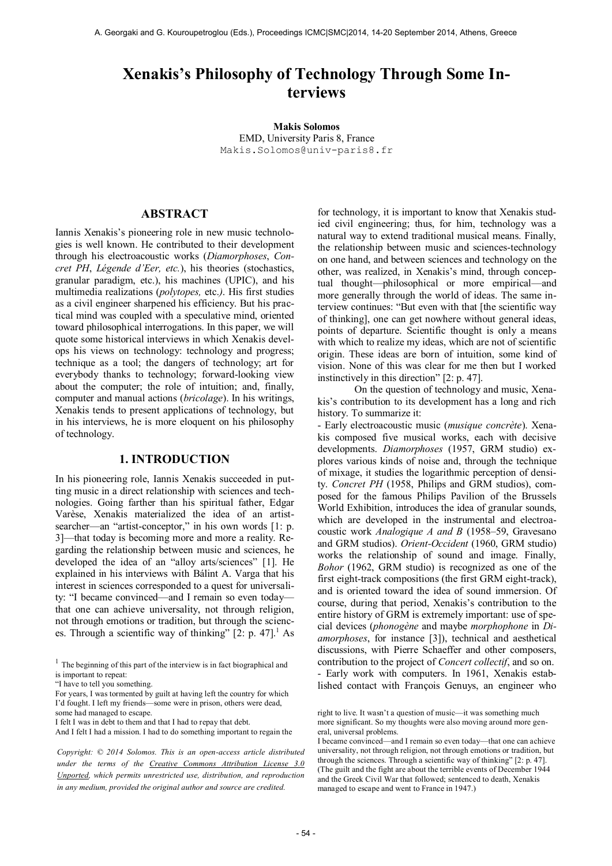# **Xenakis's Philosophy of Technology Through Some Interviews**

**Makis Solomos** EMD, University Paris 8, France [Makis.Solomos@univ-paris8.fr](mailto:author2@smcnetwork.org)

# **ABSTRACT**

Iannis Xenakis's pioneering role in new music technologies is well known. He contributed to their development through his electroacoustic works (*Diamorphoses*, *Concret PH*, *Légende d'Eer, etc.*), his theories (stochastics, granular paradigm, etc.), his machines (UPIC), and his multimedia realizations (*polytopes,* etc.*)*. His first studies as a civil engineer sharpened his efficiency. But his practical mind was coupled with a speculative mind, oriented toward philosophical interrogations. In this paper, we will quote some historical interviews in which Xenakis develops his views on technology: technology and progress; technique as a tool; the dangers of technology; art for everybody thanks to technology; forward-looking view about the computer; the role of intuition; and, finally, computer and manual actions (*bricolage*). In his writings, Xenakis tends to present applications of technology, but in his interviews, he is more eloquent on his philosophy of technology.

## **1. INTRODUCTION**

In his pioneering role, Iannis Xenakis succeeded in putting music in a direct relationship with sciences and technologies. Going farther than his spiritual father, Edgar Varèse, Xenakis materialized the idea of an artistsearcher—an "artist-conceptor," in his own words [1: p. 3]—that today is becoming more and more a reality. Regarding the relationship between music and sciences, he developed the idea of an "alloy arts/sciences" [1]. He explained in his interviews with Bálint A. Varga that his interest in sciences corresponded to a quest for universality: "I became convinced—and I remain so even today that one can achieve universality, not through religion, not through emotions or tradition, but through the sciences. Through a scientific way of thinking"  $[2: p. 47]$ <sup>1</sup> As

for technology, it is important to know that Xenakis studied civil engineering; thus, for him, technology was a natural way to extend traditional musical means. Finally, the relationship between music and sciences-technology on one hand, and between sciences and technology on the other, was realized, in Xenakis's mind, through conceptual thought—philosophical or more empirical—and more generally through the world of ideas. The same interview continues: "But even with that [the scientific way of thinking], one can get nowhere without general ideas, points of departure. Scientific thought is only a means with which to realize my ideas, which are not of scientific origin. These ideas are born of intuition, some kind of vision. None of this was clear for me then but I worked instinctively in this direction" [2: p. 47].

 On the question of technology and music, Xenakis's contribution to its development has a long and rich history. To summarize it:

- Early electroacoustic music (*musique concrète*). Xenakis composed five musical works, each with decisive developments. *Diamorphoses* (1957, GRM studio) explores various kinds of noise and, through the technique of mixage, it studies the logarithmic perception of density. *Concret PH* (1958, Philips and GRM studios), composed for the famous Philips Pavilion of the Brussels World Exhibition, introduces the idea of granular sounds, which are developed in the instrumental and electroacoustic work *Analogique A and B* (1958–59, Gravesano and GRM studios). *Orient-Occident* (1960, GRM studio) works the relationship of sound and image. Finally, *Bohor* (1962, GRM studio) is recognized as one of the first eight-track compositions (the first GRM eight-track), and is oriented toward the idea of sound immersion. Of course, during that period, Xenakis's contribution to the entire history of GRM is extremely important: use of special devices (*phonogène* and maybe *morphophone* in *Diamorphoses*, for instance [3]), technical and aesthetical discussions, with Pierre Schaeffer and other composers, contribution to the project of *Concert collectif*, and so on. - Early work with computers. In 1961, Xenakis established contact with François Genuys, an engineer who

 $<sup>1</sup>$  The beginning of this part of the interview is in fact biographical and</sup> is important to repeat:

<sup>&</sup>quot;I have to tell you something.

For years, I was tormented by guilt at having left the country for which I'd fought. I left my friends—some were in prison, others were dead, some had managed to escape.

I felt I was in debt to them and that I had to repay that debt.

And I felt I had a mission. I had to do something important to regain the

*Copyright: © 2014 Solomos. This is an open-access article distributed under the terms of the [Creative Commons Attribution License 3.0](http://creativecommons.org/licenses/by/3.0/)  [Unported,](http://creativecommons.org/licenses/by/3.0/) which permits unrestricted use, distribution, and reproduction in any medium, provided the original author and source are credited.*

right to live. It wasn't a question of music—it was something much more significant. So my thoughts were also moving around more general, universal problems.

I became convinced—and I remain so even today—that one can achieve universality, not through religion, not through emotions or tradition, but through the sciences. Through a scientific way of thinking" [2: p. 47]. (The guilt and the fight are about the terrible events of December 1944 and the Greek Civil War that followed; sentenced to death, Xenakis managed to escape and went to France in 1947.)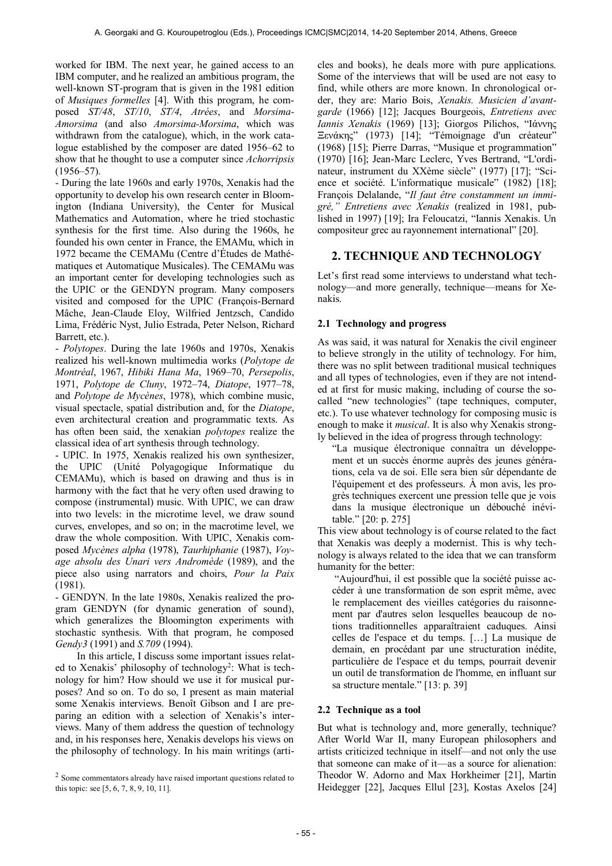worked for IBM. The next year, he gained access to an IBM computer, and he realized an ambitious program, the well-known ST-program that is given in the 1981 edition of *Musiques formelles* [4]. With this program, he composed *ST/48*, *ST/10*, *ST/4*, *Atrées*, and *Morsima-Amorsima* (and also *Amorsima-Morsima*, which was withdrawn from the catalogue), which, in the work catalogue established by the composer are dated 1956–62 to show that he thought to use a computer since *Achorripsis*  $(1956 - 57)$ .

- During the late 1960s and early 1970s, Xenakis had the opportunity to develop his own research center in Bloomington (Indiana University), the Center for Musical Mathematics and Automation, where he tried stochastic synthesis for the first time. Also during the 1960s, he founded his own center in France, the EMAMu, which in 1972 became the CEMAMu (Centre d'Études de Mathématiques et Automatique Musicales). The CEMAMu was an important center for developing technologies such as the UPIC or the GENDYN program. Many composers visited and composed for the UPIC (François-Bernard Mâche, Jean-Claude Eloy, Wilfried Jentzsch, Candido Lima, Frédéric Nyst, Julio Estrada, Peter Nelson, Richard Barrett, etc.).

- *Polytopes*. During the late 1960s and 1970s, Xenakis realized his well-known multimedia works (*Polytope de Montréal*, 1967, *Hibiki Hana Ma*, 1969–70, *Persepolis*, 1971, *Polytope de Cluny*, 1972–74, *Diatope*, 1977–78, and *Polytope de Mycènes*, 1978), which combine music, visual spectacle, spatial distribution and, for the *Diatope*, even architectural creation and programmatic texts. As has often been said, the xenakian *polytopes* realize the classical idea of art synthesis through technology.

- UPIC. In 1975, Xenakis realized his own synthesizer, the UPIC (Unité Polyagogique Informatique du CEMAMu), which is based on drawing and thus is in harmony with the fact that he very often used drawing to compose (instrumental) music. With UPIC, we can draw into two levels: in the microtime level, we draw sound curves, envelopes, and so on; in the macrotime level, we draw the whole composition. With UPIC, Xenakis composed *Mycènes alpha* (1978), *Taurhiphanie* (1987), *Voyage absolu des Unari vers Andromède* (1989), and the piece also using narrators and choirs, *Pour la Paix* (1981).

- GENDYN. In the late 1980s, Xenakis realized the program GENDYN (for dynamic generation of sound), which generalizes the Bloomington experiments with stochastic synthesis. With that program, he composed *Gendy3* (1991) and *S.709* (1994).

In this article, I discuss some important issues related to Xenakis' philosophy of technology<sup>2</sup>: What is technology for him? How should we use it for musical purposes? And so on. To do so, I present as main material some Xenakis interviews. Benoît Gibson and I are preparing an edition with a selection of Xenakis's interviews. Many of them address the question of technology and, in his responses here, Xenakis develops his views on the philosophy of technology. In his main writings (articles and books), he deals more with pure applications. Some of the interviews that will be used are not easy to find, while others are more known. In chronological order, they are: Mario Bois, *Xenakis. Musicien d'avantgarde* (1966) [12]; Jacques Bourgeois, *Entretiens avec Iannis Xenakis* (1969) [13]; Giorgos Pilichos, "Ιάννης Ξενάκης" (1973) [14]; "Témoignage d'un créateur" (1968) [15]; Pierre Darras, "Musique et programmation" (1970) [16]; Jean-Marc Leclerc, Yves Bertrand, "L'ordinateur, instrument du XXème siècle" (1977) [17]; "Science et société. L'informatique musicale" (1982) [18]; François Delalande, "*Il faut être constamment un immigré," Entretiens avec Xenakis* (realized in 1981, published in 1997) [19]; Ira Feloucatzi, "Iannis Xenakis. Un compositeur grec au rayonnement international" [20].

# **2. TECHNIQUE AND TECHNOLOGY**

Let's first read some interviews to understand what technology—and more generally, technique—means for Xenakis.

# **2.1 Technology and progress**

As was said, it was natural for Xenakis the civil engineer to believe strongly in the utility of technology. For him, there was no split between traditional musical techniques and all types of technologies, even if they are not intended at first for music making, including of course the socalled "new technologies" (tape techniques, computer, etc.). To use whatever technology for composing music is enough to make it *musical*. It is also why Xenakis strongly believed in the idea of progress through technology:

"La musique électronique connaîtra un développement et un succès énorme auprès des jeunes générations, cela va de soi. Elle sera bien sûr dépendante de l'équipement et des professeurs. À mon avis, les progrès techniques exercent une pression telle que je vois dans la musique électronique un débouché inévitable." [20: p. 275]

This view about technology is of course related to the fact that Xenakis was deeply a modernist. This is why technology is always related to the idea that we can transform humanity for the better:

 "Aujourd'hui, il est possible que la société puisse accéder à une transformation de son esprit même, avec le remplacement des vieilles catégories du raisonnement par d'autres selon lesquelles beaucoup de notions traditionnelles apparaîtraient caduques. Ainsi celles de l'espace et du temps. […] La musique de demain, en procédant par une structuration inédite, particulière de l'espace et du temps, pourrait devenir un outil de transformation de l'homme, en influant sur sa structure mentale." [13: p. 39]

#### **2.2 Technique as a tool**

But what is technology and, more generally, technique? After World War II, many European philosophers and artists criticized technique in itself—and not only the use that someone can make of it—as a source for alienation: Theodor W. Adorno and Max Horkheimer [21], Martin Heidegger [22], Jacques Ellul [23], Kostas Axelos [24]

<sup>&</sup>lt;sup>2</sup> Some commentators already have raised important questions related to this topic: see [5, 6, 7, 8, 9, 10, 11].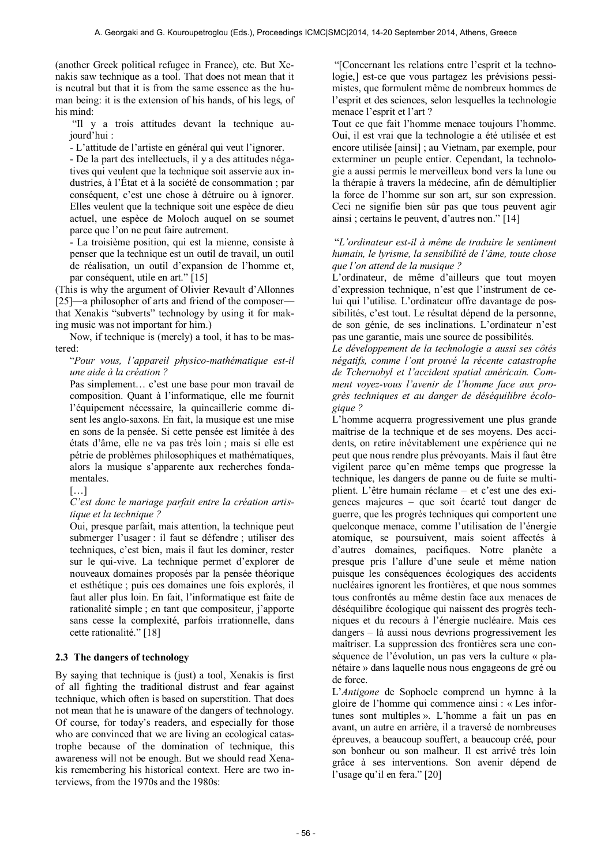(another Greek political refugee in France), etc. But Xenakis saw technique as a tool. That does not mean that it is neutral but that it is from the same essence as the human being: it is the extension of his hands, of his legs, of his mind:

 "Il y a trois attitudes devant la technique aujourd'hui :

- L'attitude de l'artiste en général qui veut l'ignorer.

- De la part des intellectuels, il y a des attitudes négatives qui veulent que la technique soit asservie aux industries, à l'État et à la société de consommation ; par conséquent, c'est une chose à détruire ou à ignorer. Elles veulent que la technique soit une espèce de dieu actuel, une espèce de Moloch auquel on se soumet parce que l'on ne peut faire autrement.

- La troisième position, qui est la mienne, consiste à penser que la technique est un outil de travail, un outil de réalisation, un outil d'expansion de l'homme et, par conséquent, utile en art." [15]

(This is why the argument of Olivier Revault d'Allonnes [25]—a philosopher of arts and friend of the composer that Xenakis "subverts" technology by using it for making music was not important for him.)

Now, if technique is (merely) a tool, it has to be mastered:

#### "*Pour vous, l'appareil physico-mathématique est-il une aide à la création ?*

Pas simplement… c'est une base pour mon travail de composition. Quant à l'informatique, elle me fournit l'équipement nécessaire, la quincaillerie comme disent les anglo-saxons. En fait, la musique est une mise en sons de la pensée. Si cette pensée est limitée à des états d'âme, elle ne va pas très loin ; mais si elle est pétrie de problèmes philosophiques et mathématiques, alors la musique s'apparente aux recherches fondamentales.

 $[\ldots]$ 

#### *C'est donc le mariage parfait entre la création artistique et la technique ?*

Oui, presque parfait, mais attention, la technique peut submerger l'usager : il faut se défendre ; utiliser des techniques, c'est bien, mais il faut les dominer, rester sur le qui-vive. La technique permet d'explorer de nouveaux domaines proposés par la pensée théorique et esthétique ; puis ces domaines une fois explorés, il faut aller plus loin. En fait, l'informatique est faite de rationalité simple ; en tant que compositeur, j'apporte sans cesse la complexité, parfois irrationnelle, dans cette rationalité." [18]

#### **2.3 The dangers of technology**

By saying that technique is (just) a tool. Xenakis is first of all fighting the traditional distrust and fear against technique, which often is based on superstition. That does not mean that he is unaware of the dangers of technology. Of course, for today's readers, and especially for those who are convinced that we are living an ecological catastrophe because of the domination of technique, this awareness will not be enough. But we should read Xenakis remembering his historical context. Here are two interviews, from the 1970s and the 1980s:

 "[Concernant les relations entre l'esprit et la technologie,] est-ce que vous partagez les prévisions pessimistes, que formulent même de nombreux hommes de l'esprit et des sciences, selon lesquelles la technologie menace l'esprit et l'art ?

Tout ce que fait l'homme menace toujours l'homme. Oui, il est vrai que la technologie a été utilisée et est encore utilisée [ainsi] ; au Vietnam, par exemple, pour exterminer un peuple entier. Cependant, la technologie a aussi permis le merveilleux bond vers la lune ou la thérapie à travers la médecine, afin de démultiplier la force de l'homme sur son art, sur son expression. Ceci ne signifie bien sûr pas que tous peuvent agir ainsi ; certains le peuvent, d'autres non." [14]

#### "*L'ordinateur est-il à même de traduire le sentiment humain, le lyrisme, la sensibilité de l'âme, toute chose que l'on attend de la musique ?*

L'ordinateur, de même d'ailleurs que tout moyen d'expression technique, n'est que l'instrument de celui qui l'utilise. L'ordinateur offre davantage de possibilités, c'est tout. Le résultat dépend de la personne, de son génie, de ses inclinations. L'ordinateur n'est pas une garantie, mais une source de possibilités.

*Le développement de la technologie a aussi ses côtés négatifs, comme l'ont prouvé la récente catastrophe de Tchernobyl et l'accident spatial américain. Comment voyez-vous l'avenir de l'homme face aux progrès techniques et au danger de déséquilibre écologique ?* 

L'homme acquerra progressivement une plus grande maîtrise de la technique et de ses moyens. Des accidents, on retire inévitablement une expérience qui ne peut que nous rendre plus prévoyants. Mais il faut être vigilent parce qu'en même temps que progresse la technique, les dangers de panne ou de fuite se multiplient. L'être humain réclame – et c'est une des exigences majeures – que soit écarté tout danger de guerre, que les progrès techniques qui comportent une quelconque menace, comme l'utilisation de l'énergie atomique, se poursuivent, mais soient affectés à d'autres domaines, pacifiques. Notre planète a presque pris l'allure d'une seule et même nation puisque les conséquences écologiques des accidents nucléaires ignorent les frontières, et que nous sommes tous confrontés au même destin face aux menaces de déséquilibre écologique qui naissent des progrès techniques et du recours à l'énergie nucléaire. Mais ces dangers – là aussi nous devrions progressivement les maîtriser. La suppression des frontières sera une conséquence de l'évolution, un pas vers la culture « planétaire » dans laquelle nous nous engageons de gré ou de force.

L'*Antigone* de Sophocle comprend un hymne à la gloire de l'homme qui commence ainsi : « Les infortunes sont multiples ». L'homme a fait un pas en avant, un autre en arrière, il a traversé de nombreuses épreuves, a beaucoup souffert, a beaucoup créé, pour son bonheur ou son malheur. Il est arrivé très loin grâce à ses interventions. Son avenir dépend de l'usage qu'il en fera." [20]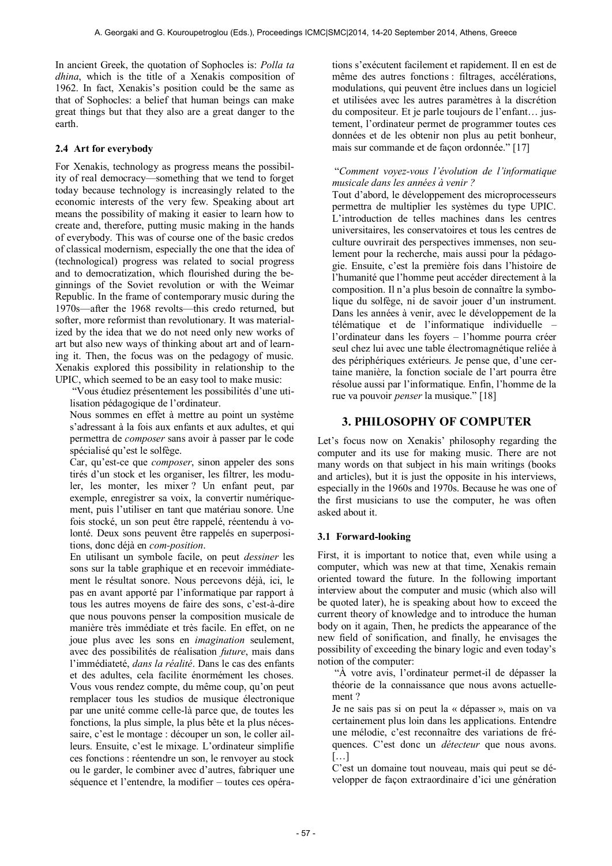In ancient Greek, the quotation of Sophocles is: *Polla ta dhina*, which is the title of a Xenakis composition of 1962. In fact, Xenakis's position could be the same as that of Sophocles: a belief that human beings can make great things but that they also are a great danger to the earth.

# **2.4 Art for everybody**

For Xenakis, technology as progress means the possibility of real democracy—something that we tend to forget today because technology is increasingly related to the economic interests of the very few. Speaking about art means the possibility of making it easier to learn how to create and, therefore, putting music making in the hands of everybody. This was of course one of the basic credos of classical modernism, especially the one that the idea of (technological) progress was related to social progress and to democratization, which flourished during the beginnings of the Soviet revolution or with the Weimar Republic. In the frame of contemporary music during the 1970s—after the 1968 revolts—this credo returned, but softer, more reformist than revolutionary. It was materialized by the idea that we do not need only new works of art but also new ways of thinking about art and of learning it. Then, the focus was on the pedagogy of music. Xenakis explored this possibility in relationship to the UPIC, which seemed to be an easy tool to make music:

 "Vous étudiez présentement les possibilités d'une utilisation pédagogique de l'ordinateur.

Nous sommes en effet à mettre au point un système s'adressant à la fois aux enfants et aux adultes, et qui permettra de *composer* sans avoir à passer par le code spécialisé qu'est le solfège.

Car, qu'est-ce que *composer*, sinon appeler des sons tirés d'un stock et les organiser, les filtrer, les moduler, les monter, les mixer ? Un enfant peut, par exemple, enregistrer sa voix, la convertir numériquement, puis l'utiliser en tant que matériau sonore. Une fois stocké, un son peut être rappelé, réentendu à volonté. Deux sons peuvent être rappelés en superpositions, donc déjà en *com-position*.

En utilisant un symbole facile, on peut *dessiner* les sons sur la table graphique et en recevoir immédiatement le résultat sonore. Nous percevons déjà, ici, le pas en avant apporté par l'informatique par rapport à tous les autres moyens de faire des sons, c'est-à-dire que nous pouvons penser la composition musicale de manière très immédiate et très facile. En effet, on ne joue plus avec les sons en *imagination* seulement, avec des possibilités de réalisation *future*, mais dans l'immédiateté, *dans la réalité*. Dans le cas des enfants et des adultes, cela facilite énormément les choses. Vous vous rendez compte, du même coup, qu'on peut remplacer tous les studios de musique électronique par une unité comme celle-là parce que, de toutes les fonctions, la plus simple, la plus bête et la plus nécessaire, c'est le montage : découper un son, le coller ailleurs. Ensuite, c'est le mixage. L'ordinateur simplifie ces fonctions : réentendre un son, le renvoyer au stock ou le garder, le combiner avec d'autres, fabriquer une séquence et l'entendre, la modifier – toutes ces opérations s'exécutent facilement et rapidement. Il en est de même des autres fonctions : filtrages, accélérations, modulations, qui peuvent être inclues dans un logiciel et utilisées avec les autres paramètres à la discrétion du compositeur. Et je parle toujours de l'enfant… justement, l'ordinateur permet de programmer toutes ces données et de les obtenir non plus au petit bonheur, mais sur commande et de façon ordonnée." [17]

#### "*Comment voyez-vous l'évolution de l'informatique musicale dans les années à venir ?*

Tout d'abord, le développement des microprocesseurs permettra de multiplier les systèmes du type UPIC. L'introduction de telles machines dans les centres universitaires, les conservatoires et tous les centres de culture ouvrirait des perspectives immenses, non seulement pour la recherche, mais aussi pour la pédagogie. Ensuite, c'est la première fois dans l'histoire de l'humanité que l'homme peut accéder directement à la composition. Il n'a plus besoin de connaître la symbolique du solfège, ni de savoir jouer d'un instrument. Dans les années à venir, avec le développement de la télématique et de l'informatique individuelle – l'ordinateur dans les foyers – l'homme pourra créer seul chez lui avec une table électromagnétique reliée à des périphériques extérieurs. Je pense que, d'une certaine manière, la fonction sociale de l'art pourra être résolue aussi par l'informatique. Enfin, l'homme de la rue va pouvoir *penser* la musique." [18]

# **3. PHILOSOPHY OF COMPUTER**

Let's focus now on Xenakis' philosophy regarding the computer and its use for making music. There are not many words on that subject in his main writings (books and articles), but it is just the opposite in his interviews, especially in the 1960s and 1970s. Because he was one of the first musicians to use the computer, he was often asked about it.

#### **3.1 Forward-looking**

First, it is important to notice that, even while using a computer, which was new at that time, Xenakis remain oriented toward the future. In the following important interview about the computer and music (which also will be quoted later), he is speaking about how to exceed the current theory of knowledge and to introduce the human body on it again, Then, he predicts the appearance of the new field of sonification, and finally, he envisages the possibility of exceeding the binary logic and even today's notion of the computer:

 "À votre avis, l'ordinateur permet-il de dépasser la théorie de la connaissance que nous avons actuellement ?

Je ne sais pas si on peut la « dépasser », mais on va certainement plus loin dans les applications. Entendre une mélodie, c'est reconnaître des variations de fréquences. C'est donc un *détecteur* que nous avons. […]

C'est un domaine tout nouveau, mais qui peut se développer de façon extraordinaire d'ici une génération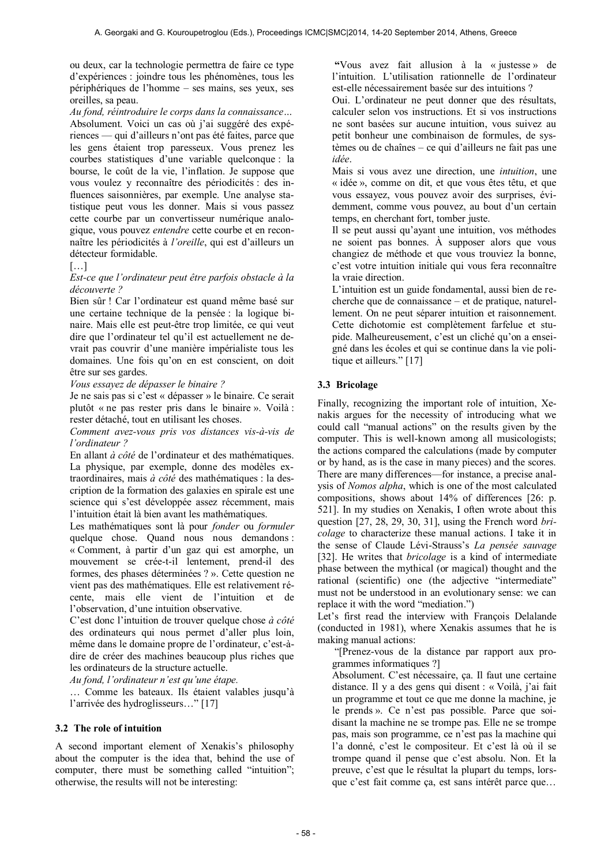ou deux, car la technologie permettra de faire ce type d'expériences : joindre tous les phénomènes, tous les périphériques de l'homme – ses mains, ses yeux, ses oreilles, sa peau.

*Au fond, réintroduire le corps dans la connaissance…* 

Absolument. Voici un cas où j'ai suggéré des expériences — qui d'ailleurs n'ont pas été faites, parce que les gens étaient trop paresseux. Vous prenez les courbes statistiques d'une variable quelconque : la bourse, le coût de la vie, l'inflation. Je suppose que vous voulez y reconnaître des périodicités : des influences saisonnières, par exemple. Une analyse statistique peut vous les donner. Mais si vous passez cette courbe par un convertisseur numérique analogique, vous pouvez *entendre* cette courbe et en reconnaître les périodicités à *l'oreille*, qui est d'ailleurs un détecteur formidable.

#### […]

#### *Est-ce que l'ordinateur peut être parfois obstacle à la découverte ?*

Bien sûr ! Car l'ordinateur est quand même basé sur une certaine technique de la pensée : la logique binaire. Mais elle est peut-être trop limitée, ce qui veut dire que l'ordinateur tel qu'il est actuellement ne devrait pas couvrir d'une manière impérialiste tous les domaines. Une fois qu'on en est conscient, on doit être sur ses gardes.

*Vous essayez de dépasser le binaire ?* 

Je ne sais pas si c'est « dépasser » le binaire. Ce serait plutôt « ne pas rester pris dans le binaire ». Voilà : rester détaché, tout en utilisant les choses.

*Comment avez-vous pris vos distances vis-à-vis de l'ordinateur ?* 

En allant *à côté* de l'ordinateur et des mathématiques. La physique, par exemple, donne des modèles extraordinaires, mais *à côté* des mathématiques : la description de la formation des galaxies en spirale est une science qui s'est développée assez récemment, mais l'intuition était là bien avant les mathématiques.

Les mathématiques sont là pour *fonder* ou *formuler* quelque chose. Quand nous nous demandons : « Comment, à partir d'un gaz qui est amorphe, un mouvement se crée-t-il lentement, prend-il des formes, des phases déterminées ? ». Cette question ne vient pas des mathématiques. Elle est relativement récente, mais elle vient de l'intuition et de l'observation, d'une intuition observative.

C'est donc l'intuition de trouver quelque chose *à côté* des ordinateurs qui nous permet d'aller plus loin, même dans le domaine propre de l'ordinateur, c'est-àdire de créer des machines beaucoup plus riches que les ordinateurs de la structure actuelle.

*Au fond, l'ordinateur n'est qu'une étape.* 

… Comme les bateaux. Ils étaient valables jusqu'à l'arrivée des hydroglisseurs…" [17]

#### **3.2 The role of intuition**

A second important element of Xenakis's philosophy about the computer is the idea that, behind the use of computer, there must be something called "intuition"; otherwise, the results will not be interesting:

 **"**Vous avez fait allusion à la « justesse » de l'intuition. L'utilisation rationnelle de l'ordinateur est-elle nécessairement basée sur des intuitions ?

Oui. L'ordinateur ne peut donner que des résultats, calculer selon vos instructions. Et si vos instructions ne sont basées sur aucune intuition, vous suivez au petit bonheur une combinaison de formules, de systèmes ou de chaînes – ce qui d'ailleurs ne fait pas une *idée*.

Mais si vous avez une direction, une *intuition*, une « idée », comme on dit, et que vous êtes têtu, et que vous essayez, vous pouvez avoir des surprises, évidemment, comme vous pouvez, au bout d'un certain temps, en cherchant fort, tomber juste.

Il se peut aussi qu'ayant une intuition, vos méthodes ne soient pas bonnes. À supposer alors que vous changiez de méthode et que vous trouviez la bonne, c'est votre intuition initiale qui vous fera reconnaître la vraie direction.

L'intuition est un guide fondamental, aussi bien de recherche que de connaissance – et de pratique, naturellement. On ne peut séparer intuition et raisonnement. Cette dichotomie est complètement farfelue et stupide. Malheureusement, c'est un cliché qu'on a enseigné dans les écoles et qui se continue dans la vie politique et ailleurs." [17]

#### **3.3 Bricolage**

Finally, recognizing the important role of intuition, Xenakis argues for the necessity of introducing what we could call "manual actions" on the results given by the computer. This is well-known among all musicologists; the actions compared the calculations (made by computer or by hand, as is the case in many pieces) and the scores. There are many differences—for instance, a precise analysis of *Nomos alpha*, which is one of the most calculated compositions, shows about 14% of differences [26: p. 521]. In my studies on Xenakis, I often wrote about this question [27, 28, 29, 30, 31], using the French word *bricolage* to characterize these manual actions. I take it in the sense of Claude Lévi-Strauss's *La pensée sauvage* [32]. He writes that *bricolage* is a kind of intermediate phase between the mythical (or magical) thought and the rational (scientific) one (the adjective "intermediate" must not be understood in an evolutionary sense: we can replace it with the word "mediation.")

Let's first read the interview with François Delalande (conducted in 1981), where Xenakis assumes that he is making manual actions:

 "[Prenez-vous de la distance par rapport aux programmes informatiques ?]

Absolument. C'est nécessaire, ça. Il faut une certaine distance. Il y a des gens qui disent : « Voilà, j'ai fait un programme et tout ce que me donne la machine, je le prends ». Ce n'est pas possible. Parce que soidisant la machine ne se trompe pas. Elle ne se trompe pas, mais son programme, ce n'est pas la machine qui l'a donné, c'est le compositeur. Et c'est là où il se trompe quand il pense que c'est absolu. Non. Et la preuve, c'est que le résultat la plupart du temps, lorsque c'est fait comme ça, est sans intérêt parce que…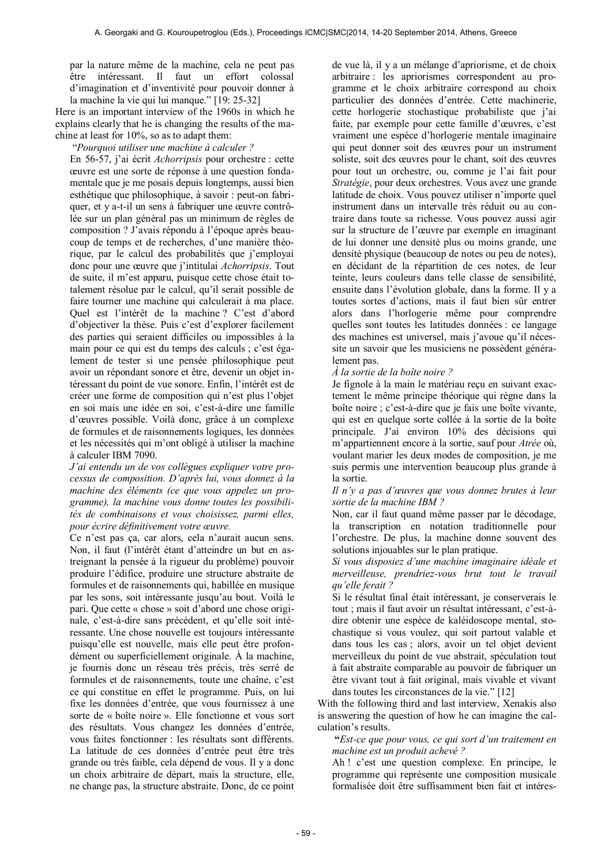par la nature même de la machine, cela ne peut pas être intéressant. Il faut un effort colossal d'imagination et d'inventivité pour pouvoir donner à la machine la vie qui lui manque." [19: 25-32]

Here is an important interview of the 1960s in which he explains clearly that he is changing the results of the machine at least for 10%, so as to adapt them:

"*Pourquoi utiliser une machine à calculer ?*

En 56-57, j'ai écrit *Achorripsis* pour orchestre : cette œuvre est une sorte de réponse à une question fondamentale que je me posais depuis longtemps, aussi bien esthétique que philosophique, à savoir : peut-on fabriquer, et y a-t-il un sens à fabriquer une œuvre contrôlée sur un plan général pas un minimum de règles de composition ? J'avais répondu à l'époque après beaucoup de temps et de recherches, d'une manière théorique, par le calcul des probabilités que j'employai donc pour une œuvre que j'intitulai *Achorripsis*. Tout de suite, il m'est apparu, puisque cette chose était totalement résolue par le calcul, qu'il serait possible de faire tourner une machine qui calculerait à ma place. Quel est l'intérêt de la machine ? C'est d'abord d'objectiver la thèse. Puis c'est d'explorer facilement des parties qui seraient difficiles ou impossibles à la main pour ce qui est du temps des calculs ; c'est également de tester si une pensée philosophique peut avoir un répondant sonore et être, devenir un objet intéressant du point de vue sonore. Enfin, l'intérêt est de créer une forme de composition qui n'est plus l'objet en soi mais une idée en soi, c'est-à-dire une famille d'œuvres possible. Voilà donc, grâce à un complexe de formules et de raisonnements logiques, les données et les nécessités qui m'ont obligé à utiliser la machine à calculer IBM 7090.

*J'ai entendu un de vos collègues expliquer votre processus de composition. D'après lui, vous donnez à la machine des éléments (ce que vous appelez un programme), la machine vous donne toutes les possibilités de combinaisons et vous choisissez, parmi elles, pour écrire définitivement votre œuvre.* 

Ce n'est pas ça, car alors, cela n'aurait aucun sens. Non, il faut (l'intérêt étant d'atteindre un but en astreignant la pensée à la rigueur du problème) pouvoir produire l'édifice, produire une structure abstraite de formules et de raisonnements qui, habillée en musique par les sons, soit intéressante jusqu'au bout. Voilà le pari. Que cette « chose » soit d'abord une chose originale, c'est-à-dire sans précédent, et qu'elle soit intéressante. Une chose nouvelle est toujours intéressante puisqu'elle est nouvelle, mais elle peut être profondément ou superficiellement originale. À la machine, je fournis donc un réseau très précis, très serré de formules et de raisonnements, toute une chaîne, c'est ce qui constitue en effet le programme. Puis, on lui fixe les données d'entrée, que vous fournissez à une sorte de « boîte noire ». Elle fonctionne et vous sort des résultats. Vous changez les données d'entrée, vous faites fonctionner : les résultats sont différents. La latitude de ces données d'entrée peut être très grande ou très faible, cela dépend de vous. Il y a donc un choix arbitraire de départ, mais la structure, elle, ne change pas, la structure abstraite. Donc, de ce point de vue là, il y a un mélange d'apriorisme, et de choix arbitraire : les apriorismes correspondent au programme et le choix arbitraire correspond au choix particulier des données d'entrée. Cette machinerie, cette horlogerie stochastique probabiliste que j'ai faite, par exemple pour cette famille d'œuvres, c'est vraiment une espèce d'horlogerie mentale imaginaire qui peut donner soit des œuvres pour un instrument soliste, soit des œuvres pour le chant, soit des œuvres pour tout un orchestre, ou, comme je l'ai fait pour *Stratégie*, pour deux orchestres. Vous avez une grande latitude de choix. Vous pouvez utiliser n'importe quel instrument dans un intervalle très réduit ou au contraire dans toute sa richesse. Vous pouvez aussi agir sur la structure de l'œuvre par exemple en imaginant de lui donner une densité plus ou moins grande, une densité physique (beaucoup de notes ou peu de notes), en décidant de la répartition de ces notes, de leur teinte, leurs couleurs dans telle classe de sensibilité ensuite dans l'évolution globale, dans la forme. Il y a toutes sortes d'actions, mais il faut bien sûr entrer alors dans l'horlogerie même pour comprendre quelles sont toutes les latitudes données : ce langage des machines est universel, mais j'avoue qu'il nécessite un savoir que les musiciens ne possèdent généralement pas.

#### *À la sortie de la boîte noire ?*

Je fignole à la main le matériau reçu en suivant exactement le même principe théorique qui règne dans la boîte noire ; c'est-à-dire que je fais une boîte vivante, qui est en quelque sorte collée à la sortie de la boîte principale. J'ai environ 10% des décisions qui m'appartiennent encore à la sortie, sauf pour *Atrée* où, voulant marier les deux modes de composition, je me suis permis une intervention beaucoup plus grande à la sortie.

*Il n'y a pas d'œuvres que vous donnez brutes à leur sortie de la machine IBM ?* 

Non, car il faut quand même passer par le décodage, la transcription en notation traditionnelle pour l'orchestre. De plus, la machine donne souvent des solutions injouables sur le plan pratique.

*Si vous disposiez d'une machine imaginaire idéale et merveilleuse, prendriez-vous brut tout le travail qu'elle ferait ?* 

Si le résultat final était intéressant, je conserverais le tout ; mais il faut avoir un résultat intéressant, c'est-àdire obtenir une espèce de kaléidoscope mental, stochastique si vous voulez, qui soit partout valable et dans tous les cas ; alors, avoir un tel objet devient merveilleux du point de vue abstrait, spéculation tout à fait abstraite comparable au pouvoir de fabriquer un être vivant tout à fait original, mais vivable et vivant dans toutes les circonstances de la vie." [12]

With the following third and last interview, Xenakis also is answering the question of how he can imagine the calculation's results.

 **"***Est-ce que pour vous, ce qui sort d'un traitement en machine est un produit achevé ?*

Ah ! c'est une question complexe. En principe, le programme qui représente une composition musicale formalisée doit être suffisamment bien fait et intéres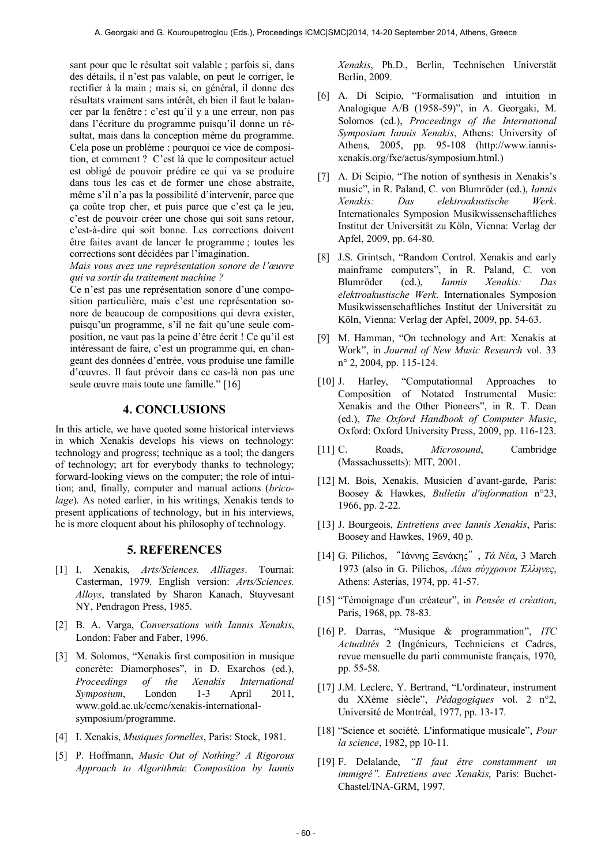sant pour que le résultat soit valable ; parfois si, dans des détails, il n'est pas valable, on peut le corriger, le rectifier à la main ; mais si, en général, il donne des résultats vraiment sans intérêt, eh bien il faut le balancer par la fenêtre : c'est qu'il y a une erreur, non pas dans l'écriture du programme puisqu'il donne un résultat, mais dans la conception même du programme. Cela pose un problème : pourquoi ce vice de composition, et comment ? C'est là que le compositeur actuel est obligé de pouvoir prédire ce qui va se produire dans tous les cas et de former une chose abstraite, même s'il n'a pas la possibilité d'intervenir, parce que ça coûte trop cher, et puis parce que c'est ça le jeu, c'est de pouvoir créer une chose qui soit sans retour, c'est-à-dire qui soit bonne. Les corrections doivent être faites avant de lancer le programme ; toutes les corrections sont décidées par l'imagination.

*Mais vous avez une représentation sonore de l'œuvre qui va sortir du traitement machine ?* 

Ce n'est pas une représentation sonore d'une composition particulière, mais c'est une représentation sonore de beaucoup de compositions qui devra exister, puisqu'un programme, s'il ne fait qu'une seule composition, ne vaut pas la peine d'être écrit ! Ce qu'il est intéressant de faire, c'est un programme qui, en changeant des données d'entrée, vous produise une famille d'œuvres. Il faut prévoir dans ce cas-là non pas une seule œuvre mais toute une famille." [16]

# **4. CONCLUSIONS**

In this article, we have quoted some historical interviews in which Xenakis develops his views on technology: technology and progress; technique as a tool; the dangers of technology; art for everybody thanks to technology; forward-looking views on the computer; the role of intuition; and, finally, computer and manual actions (*bricolage*). As noted earlier, in his writings, Xenakis tends to present applications of technology, but in his interviews, he is more eloquent about his philosophy of technology.

### **5. REFERENCES**

- [1] I. Xenakis, *Arts/Sciences. Alliages*. Tournai: Casterman, 1979. English version: *Arts/Sciences. Alloys*, translated by Sharon Kanach, Stuyvesant NY, Pendragon Press, 1985.
- [2] B. A. Varga, *Conversations with Iannis Xenakis*, London: Faber and Faber, 1996.
- [3] M. Solomos, "Xenakis first composition in musique concrète: Diamorphoses", in D. Exarchos (ed.), *Proceedings of the Xenakis International Symposium*, London 1-3 April 2011, www.gold.ac.uk/ccmc/xenakis-internationalsymposium/programme.
- [4] I. Xenakis, *Musiques formelles*, Paris: Stock, 1981.
- [5] P. Hoffmann, *Music Out of Nothing? A Rigorous Approach to Algorithmic Composition by Iannis*

*Xenakis*, Ph.D., Berlin, Technischen Universtät Berlin, 2009.

- [6] A. Di Scipio, "Formalisation and intuition in Analogique A/B (1958-59)", in A. Georgaki, M. Solomos (ed.), *Proceedings of the International Symposium Iannis Xenakis*, Athens: University of Athens, 2005, pp. 95-108 (http://www.iannisxenakis.org/fxe/actus/symposium.html.)
- [7] A. Di Scipio, "The notion of synthesis in Xenakis's music", in R. Paland, C. von Blumröder (ed.), *Iannis Xenakis: Das elektroakustische Werk*. Internationales Symposion Musikwissenschaftliches Institut der Universität zu Köln, Vienna: Verlag der Apfel, 2009, pp. 64-80.
- [8] J.S. Grintsch, "Random Control. Xenakis and early mainframe computers", in R. Paland, C. von Blumröder (ed.), *Iannis Xenakis: Das elektroakustische Werk*. Internationales Symposion Musikwissenschaftliches Institut der Universität zu Köln, Vienna: Verlag der Apfel, 2009, pp. 54-63.
- [9] M. Hamman, "On technology and Art: Xenakis at Work", in *Journal of New Music Research* vol. 33 n° 2, 2004, pp. 115-124.
- [10] J. Harley, "Computationnal Approaches to Composition of Notated Instrumental Music: Xenakis and the Other Pioneers", in R. T. Dean (ed.), *The Oxford Handbook of Computer Music*, Oxford: Oxford University Press, 2009, pp. 116-123.
- [11] C. Roads, *Microsound*, Cambridge (Massachussetts): MIT, 2001.
- [12] M. Bois, Xenakis. Musicien d'avant-garde, Paris: Boosey & Hawkes, *Bulletin d'information* n°23, 1966, pp. 2-22.
- [13] J. Bourgeois, *Entretiens avec Iannis Xenakis*, Paris: Boosey and Hawkes, 1969, 40 p.
- [14] G. Pilichos, "Ιάννης Ξενάκης", *Τά Νέα*, 3 March 1973 (also in G. Pilichos, *Δέκα σύγχρονοι Έλληνες*, Athens: Asterias, 1974, pp. 41-57.
- [15] "Témoignage d'un créateur", in *Pensée et création*, Paris, 1968, pp. 78-83.
- [16] P. Darras, "Musique & programmation", *ITC Actualités* 2 (Ingénieurs, Techniciens et Cadres, revue mensuelle du parti communiste français, 1970, pp. 55-58.
- [17] J.M. Leclerc, Y. Bertrand, "L'ordinateur, instrument du XXème siècle", *Pédagogiques* vol. 2 n°2, Université de Montréal, 1977, pp. 13-17.
- [18] "Science et société. L'informatique musicale", *Pour la science*, 1982, pp 10-11.
- [19] F. Delalande, *"Il faut être constamment un immigré". Entretiens avec Xenakis*, Paris: Buchet-Chastel/INA-GRM, 1997.